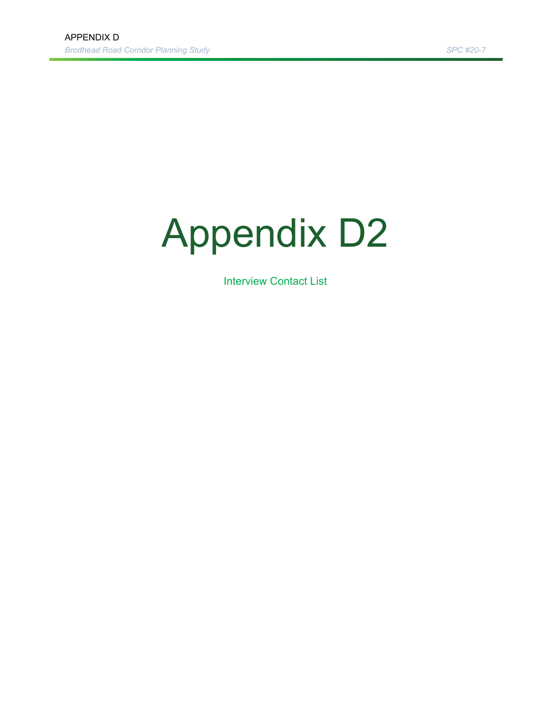## Appendix D2

Interview Contact List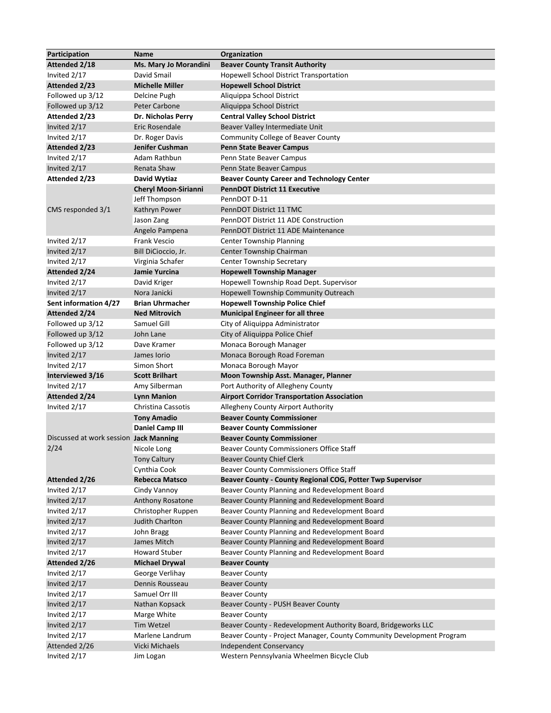| Participation                          | Name                                | <b>Organization</b>                                                                              |
|----------------------------------------|-------------------------------------|--------------------------------------------------------------------------------------------------|
| Attended 2/18                          | Ms. Mary Jo Morandini               | <b>Beaver County Transit Authority</b>                                                           |
| Invited 2/17                           | David Smail                         | Hopewell School District Transportation                                                          |
| Attended 2/23                          | <b>Michelle Miller</b>              | <b>Hopewell School District</b>                                                                  |
| Followed up 3/12                       | Delcine Pugh                        | Aliquippa School District                                                                        |
| Followed up 3/12                       | Peter Carbone                       | Aliquippa School District                                                                        |
| Attended 2/23                          | Dr. Nicholas Perry                  | <b>Central Valley School District</b>                                                            |
| Invited 2/17                           | Eric Rosendale                      | Beaver Valley Intermediate Unit                                                                  |
| Invited 2/17                           | Dr. Roger Davis                     | Community College of Beaver County                                                               |
| Attended 2/23                          | Jenifer Cushman                     | <b>Penn State Beaver Campus</b>                                                                  |
| Invited 2/17                           | Adam Rathbun                        | Penn State Beaver Campus                                                                         |
| Invited 2/17                           | Renata Shaw                         | Penn State Beaver Campus                                                                         |
| Attended 2/23                          | David Wytiaz                        | <b>Beaver County Career and Technology Center</b>                                                |
| CMS responded 3/1                      | <b>Cheryl Moon-Sirianni</b>         | <b>PennDOT District 11 Executive</b>                                                             |
|                                        | Jeff Thompson                       | PennDOT D-11                                                                                     |
|                                        | Kathryn Power                       | PennDOT District 11 TMC                                                                          |
|                                        | Jason Zang                          | PennDOT District 11 ADE Construction                                                             |
|                                        | Angelo Pampena                      | PennDOT District 11 ADE Maintenance                                                              |
| Invited 2/17                           | Frank Vescio                        | <b>Center Township Planning</b>                                                                  |
| Invited 2/17                           | Bill DiCioccio, Jr.                 | Center Township Chairman                                                                         |
| Invited 2/17                           | Virginia Schafer                    | <b>Center Township Secretary</b>                                                                 |
| Attended 2/24                          | Jamie Yurcina                       | <b>Hopewell Township Manager</b>                                                                 |
| Invited 2/17                           | David Kriger                        | Hopewell Township Road Dept. Supervisor                                                          |
| Invited 2/17                           | Nora Janicki                        | Hopewell Township Community Outreach                                                             |
| Sent information 4/27                  | <b>Brian Uhrmacher</b>              | <b>Hopewell Township Police Chief</b>                                                            |
| Attended 2/24                          | <b>Ned Mitrovich</b>                | <b>Municipal Engineer for all three</b>                                                          |
| Followed up 3/12                       | Samuel Gill                         | City of Aliquippa Administrator                                                                  |
| Followed up 3/12                       | John Lane                           | City of Aliquippa Police Chief                                                                   |
| Followed up 3/12                       | Dave Kramer                         | Monaca Borough Manager                                                                           |
| Invited 2/17                           | James lorio                         | Monaca Borough Road Foreman                                                                      |
| Invited 2/17                           | Simon Short                         | Monaca Borough Mayor                                                                             |
| Interviewed 3/16                       | <b>Scott Brilhart</b>               | Moon Township Asst. Manager, Planner                                                             |
| Invited 2/17                           | Amy Silberman                       | Port Authority of Allegheny County                                                               |
| Attended 2/24                          | <b>Lynn Manion</b>                  | <b>Airport Corridor Transportation Association</b>                                               |
| Invited 2/17                           | <b>Christina Cassotis</b>           | Allegheny County Airport Authority                                                               |
|                                        | <b>Tony Amadio</b>                  | <b>Beaver County Commissioner</b>                                                                |
|                                        | Daniel Camp III                     | <b>Beaver County Commissioner</b>                                                                |
| Discussed at work session Jack Manning |                                     | <b>Beaver County Commissioner</b>                                                                |
| 2/24                                   | Nicole Long                         | Beaver County Commissioners Office Staff                                                         |
|                                        |                                     |                                                                                                  |
|                                        | <b>Tony Caltury</b><br>Cynthia Cook | <b>Beaver County Chief Clerk</b><br>Beaver County Commissioners Office Staff                     |
|                                        | <b>Rebecca Matsco</b>               |                                                                                                  |
| Attended 2/26                          |                                     | Beaver County - County Regional COG, Potter Twp Supervisor                                       |
| Invited 2/17                           | Cindy Vannoy                        | Beaver County Planning and Redevelopment Board<br>Beaver County Planning and Redevelopment Board |
| Invited 2/17                           | Anthony Rosatone                    |                                                                                                  |
| Invited 2/17                           | Christopher Ruppen                  | Beaver County Planning and Redevelopment Board                                                   |
| Invited 2/17                           | Judith Charlton                     | Beaver County Planning and Redevelopment Board                                                   |
| Invited 2/17                           | John Bragg<br>James Mitch           | Beaver County Planning and Redevelopment Board<br>Beaver County Planning and Redevelopment Board |
| Invited 2/17                           |                                     |                                                                                                  |
| Invited 2/17                           | <b>Howard Stuber</b>                | Beaver County Planning and Redevelopment Board                                                   |
| Attended 2/26                          | <b>Michael Drywal</b>               | <b>Beaver County</b>                                                                             |
| Invited 2/17                           | George Verlihay                     | <b>Beaver County</b>                                                                             |
| Invited 2/17                           | Dennis Rousseau                     | <b>Beaver County</b>                                                                             |
| Invited 2/17                           | Samuel Orr III                      | <b>Beaver County</b>                                                                             |
| Invited 2/17                           | Nathan Kopsack                      | Beaver County - PUSH Beaver County                                                               |
| Invited 2/17                           | Marge White                         | <b>Beaver County</b>                                                                             |
| Invited 2/17                           | <b>Tim Wetzel</b>                   | Beaver County - Redevelopment Authority Board, Bridgeworks LLC                                   |
| Invited 2/17                           | Marlene Landrum                     | Beaver County - Project Manager, County Community Development Program                            |
| Attended 2/26                          | Vicki Michaels                      | <b>Independent Conservancy</b>                                                                   |
| Invited 2/17                           | Jim Logan                           | Western Pennsylvania Wheelmen Bicycle Club                                                       |